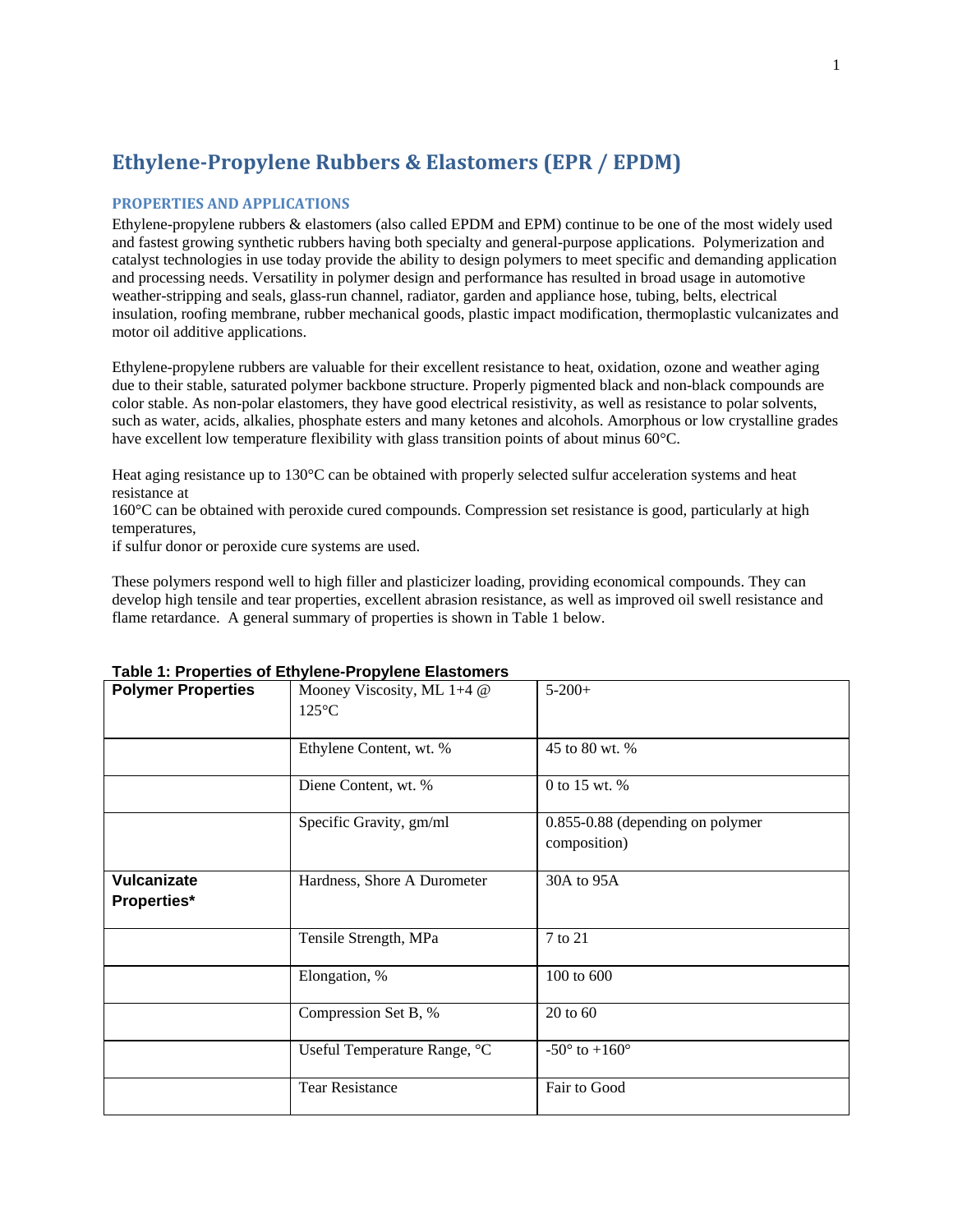# **Ethylene‐Propylene Rubbers & Elastomers (EPR / EPDM)**

#### **PROPERTIES AND APPLICATIONS**

Ethylene-propylene rubbers & elastomers (also called EPDM and EPM) continue to be one of the most widely used and fastest growing synthetic rubbers having both specialty and general-purpose applications. Polymerization and catalyst technologies in use today provide the ability to design polymers to meet specific and demanding application and processing needs. Versatility in polymer design and performance has resulted in broad usage in automotive weather-stripping and seals, glass-run channel, radiator, garden and appliance hose, tubing, belts, electrical insulation, roofing membrane, rubber mechanical goods, plastic impact modification, thermoplastic vulcanizates and motor oil additive applications.

Ethylene-propylene rubbers are valuable for their excellent resistance to heat, oxidation, ozone and weather aging due to their stable, saturated polymer backbone structure. Properly pigmented black and non-black compounds are color stable. As non-polar elastomers, they have good electrical resistivity, as well as resistance to polar solvents, such as water, acids, alkalies, phosphate esters and many ketones and alcohols. Amorphous or low crystalline grades have excellent low temperature flexibility with glass transition points of about minus 60 °C.

Heat aging resistance up to 130°C can be obtained with properly selected sulfur acceleration systems and heat resistance at

160°C can be obtained with peroxide cured compounds. Compression set resistance is good, particularly at high temperatures,

if sulfur donor or peroxide cure systems are used.

These polymers respond well to high filler and plasticizer loading, providing economical compounds. They can develop high tensile and tear properties, excellent abrasion resistance, as well as improved oil swell resistance and flame retardance. A general summary of properties is shown in Table 1 below.

| <b>Polymer Properties</b>                | . <b>. .</b><br>Mooney Viscosity, ML 1+4 @<br>$125^{\circ}$ C | $5 - 200 +$                      |
|------------------------------------------|---------------------------------------------------------------|----------------------------------|
|                                          |                                                               |                                  |
|                                          | Ethylene Content, wt. %                                       | 45 to 80 wt. %                   |
|                                          | Diene Content, wt. %                                          | 0 to 15 wt. %                    |
|                                          | Specific Gravity, gm/ml                                       | 0.855-0.88 (depending on polymer |
|                                          |                                                               | composition)                     |
| <b>Vulcanizate</b><br><b>Properties*</b> | Hardness, Shore A Durometer                                   | 30A to 95A                       |
|                                          | Tensile Strength, MPa                                         | 7 to 21                          |
|                                          | Elongation, %                                                 | 100 to 600                       |
|                                          | Compression Set B, %                                          | 20 to 60                         |
|                                          | Useful Temperature Range, °C                                  | $-50^{\circ}$ to $+160^{\circ}$  |
|                                          | <b>Tear Resistance</b>                                        | Fair to Good                     |

# **Table 1: Properties of Ethylene-Propylene Elastomers**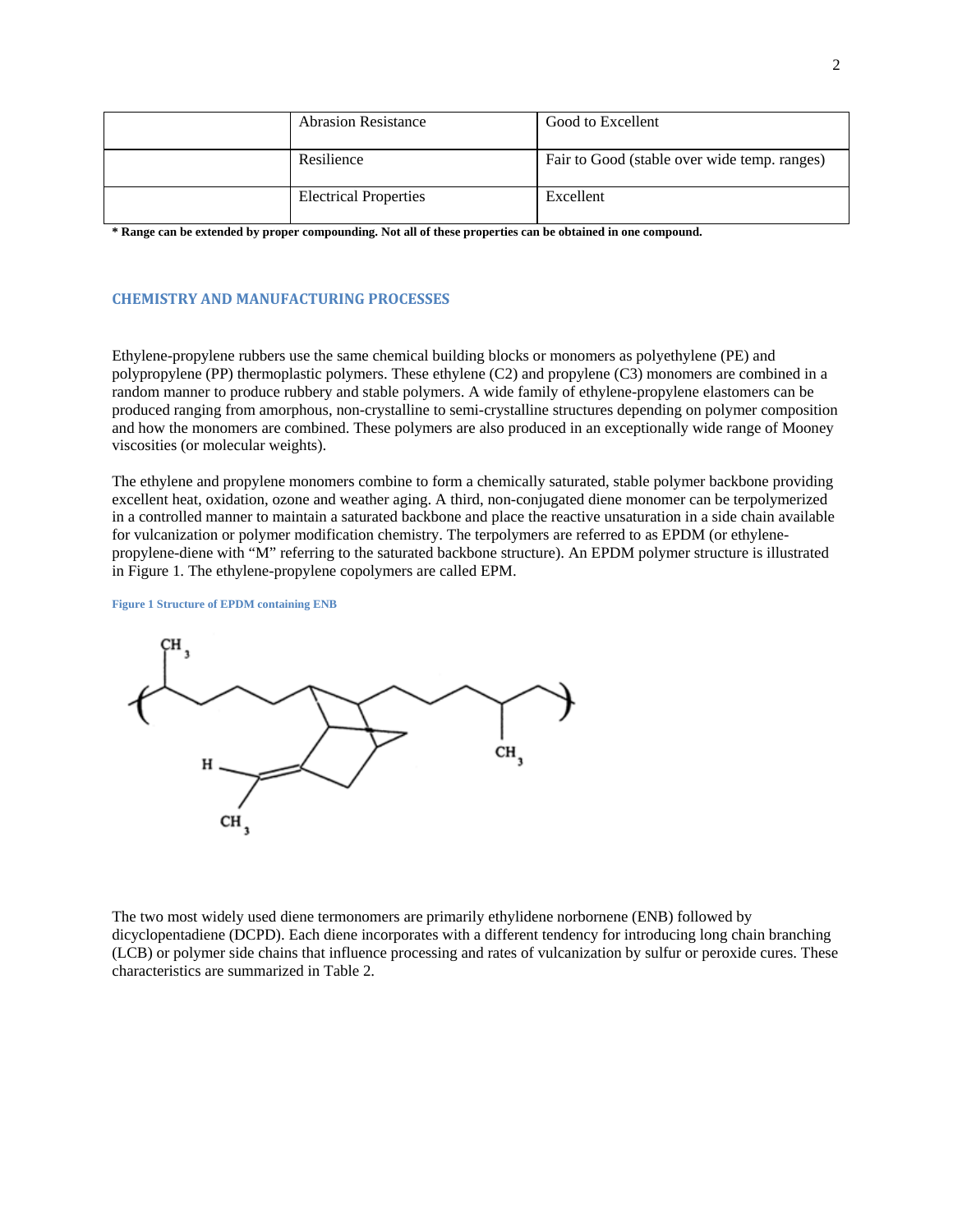| <b>Abrasion Resistance</b>   | Good to Excellent                            |
|------------------------------|----------------------------------------------|
| Resilience                   | Fair to Good (stable over wide temp. ranges) |
| <b>Electrical Properties</b> | Excellent                                    |

**\* Range can be extended by proper compounding. Not all of these properties can be obtained in one compound.** 

# **CHEMISTRY AND MANUFACTURING PROCESSES**

Ethylene-propylene rubbers use the same chemical building blocks or monomers as polyethylene (PE) and polypropylene (PP) thermoplastic polymers. These ethylene (C2) and propylene (C3) monomers are combined in a random manner to produce rubbery and stable polymers. A wide family of ethylene-propylene elastomers can be produced ranging from amorphous, non-crystalline to semi-crystalline structures depending on polymer composition and how the monomers are combined. These polymers are also produced in an exceptionally wide range of Mooney viscosities (or molecular weights).

The ethylene and propylene monomers combine to form a chemically saturated, stable polymer backbone providing excellent heat, oxidation, ozone and weather aging. A third, non-conjugated diene monomer can be terpolymerized in a controlled manner to maintain a saturated backbone and place the reactive unsaturation in a side chain available for vulcanization or polymer modification chemistry. The terpolymers are referred to as EPDM (or ethylenepropylene-diene with "M" referring to the saturated backbone structure). An EPDM polymer structure is illustrated in Figure 1. The ethylene-propylene copolymers are called EPM.

**Figure 1 Structure of EPDM containing ENB** 



The two most widely used diene termonomers are primarily ethylidene norbornene (ENB) followed by dicyclopentadiene (DCPD). Each diene incorporates with a different tendency for introducing long chain branching (LCB) or polymer side chains that influence processing and rates of vulcanization by sulfur or peroxide cures. These characteristics are summarized in Table 2.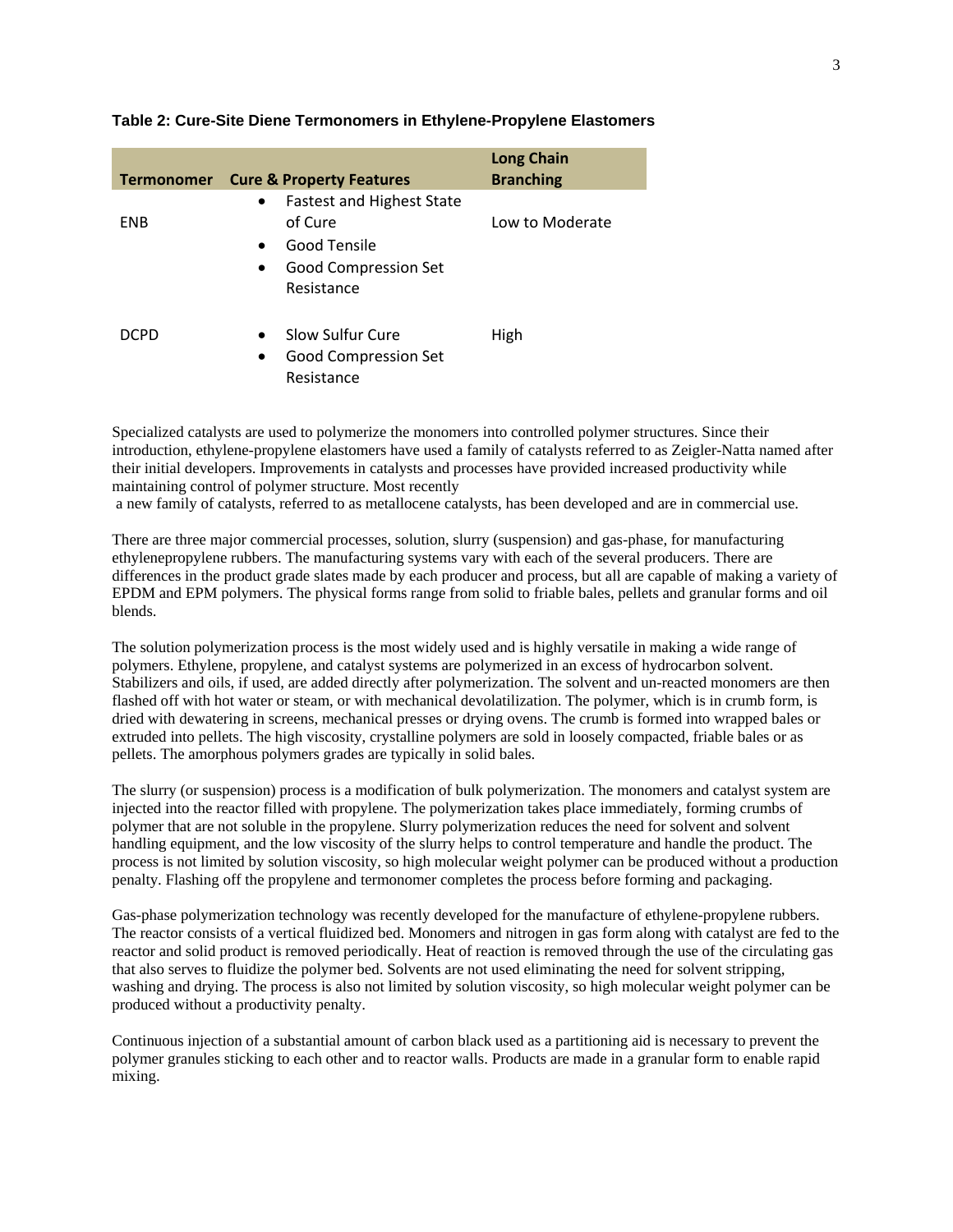| <b>Termonomer</b> | <b>Cure &amp; Property Features</b>                                                                                                      | <b>Long Chain</b><br><b>Branching</b> |
|-------------------|------------------------------------------------------------------------------------------------------------------------------------------|---------------------------------------|
| <b>FNB</b>        | <b>Fastest and Highest State</b><br>$\bullet$<br>of Cure<br>Good Tensile<br>$\bullet$<br>Good Compression Set<br>$\bullet$<br>Resistance | Low to Moderate                       |
| DCPD              | Slow Sulfur Cure<br>$\bullet$<br>Good Compression Set<br>$\bullet$<br>Resistance                                                         | High                                  |

#### **Table 2: Cure-Site Diene Termonomers in Ethylene-Propylene Elastomers**

Specialized catalysts are used to polymerize the monomers into controlled polymer structures. Since their introduction, ethylene-propylene elastomers have used a family of catalysts referred to as Zeigler-Natta named after their initial developers. Improvements in catalysts and processes have provided increased productivity while maintaining control of polymer structure. Most recently

a new family of catalysts, referred to as metallocene catalysts, has been developed and are in commercial use.

There are three major commercial processes, solution, slurry (suspension) and gas-phase, for manufacturing ethylenepropylene rubbers. The manufacturing systems vary with each of the several producers. There are differences in the product grade slates made by each producer and process, but all are capable of making a variety of EPDM and EPM polymers. The physical forms range from solid to friable bales, pellets and granular forms and oil blends.

The solution polymerization process is the most widely used and is highly versatile in making a wide range of polymers. Ethylene, propylene, and catalyst systems are polymerized in an excess of hydrocarbon solvent. Stabilizers and oils, if used, are added directly after polymerization. The solvent and un-reacted monomers are then flashed off with hot water or steam, or with mechanical devolatilization. The polymer, which is in crumb form, is dried with dewatering in screens, mechanical presses or drying ovens. The crumb is formed into wrapped bales or extruded into pellets. The high viscosity, crystalline polymers are sold in loosely compacted, friable bales or as pellets. The amorphous polymers grades are typically in solid bales.

The slurry (or suspension) process is a modification of bulk polymerization. The monomers and catalyst system are injected into the reactor filled with propylene. The polymerization takes place immediately, forming crumbs of polymer that are not soluble in the propylene. Slurry polymerization reduces the need for solvent and solvent handling equipment, and the low viscosity of the slurry helps to control temperature and handle the product. The process is not limited by solution viscosity, so high molecular weight polymer can be produced without a production penalty. Flashing off the propylene and termonomer completes the process before forming and packaging.

Gas-phase polymerization technology was recently developed for the manufacture of ethylene-propylene rubbers. The reactor consists of a vertical fluidized bed. Monomers and nitrogen in gas form along with catalyst are fed to the reactor and solid product is removed periodically. Heat of reaction is removed through the use of the circulating gas that also serves to fluidize the polymer bed. Solvents are not used eliminating the need for solvent stripping, washing and drying. The process is also not limited by solution viscosity, so high molecular weight polymer can be produced without a productivity penalty.

Continuous injection of a substantial amount of carbon black used as a partitioning aid is necessary to prevent the polymer granules sticking to each other and to reactor walls. Products are made in a granular form to enable rapid mixing.